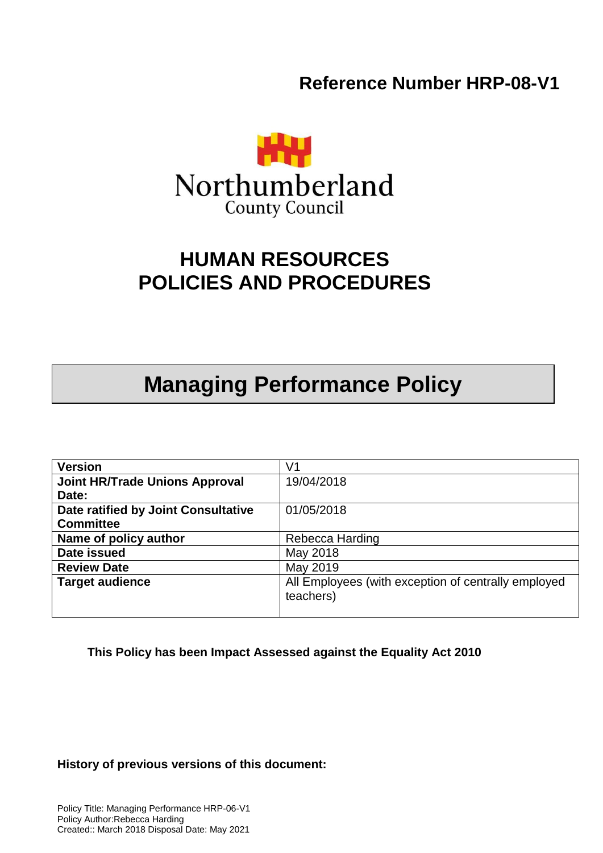**Reference Number HRP-08-V1**



# **HUMAN RESOURCES POLICIES AND PROCEDURES**

# **Managing Performance Policy**

| <b>Version</b>                        | V1                                                               |
|---------------------------------------|------------------------------------------------------------------|
| <b>Joint HR/Trade Unions Approval</b> | 19/04/2018                                                       |
| Date:                                 |                                                                  |
| Date ratified by Joint Consultative   | 01/05/2018                                                       |
| <b>Committee</b>                      |                                                                  |
| Name of policy author                 | Rebecca Harding                                                  |
| Date issued                           | May 2018                                                         |
| <b>Review Date</b>                    | May 2019                                                         |
| <b>Target audience</b>                | All Employees (with exception of centrally employed<br>teachers) |
|                                       |                                                                  |

**This Policy has been Impact Assessed against the Equality Act 2010**

**History of previous versions of this document:**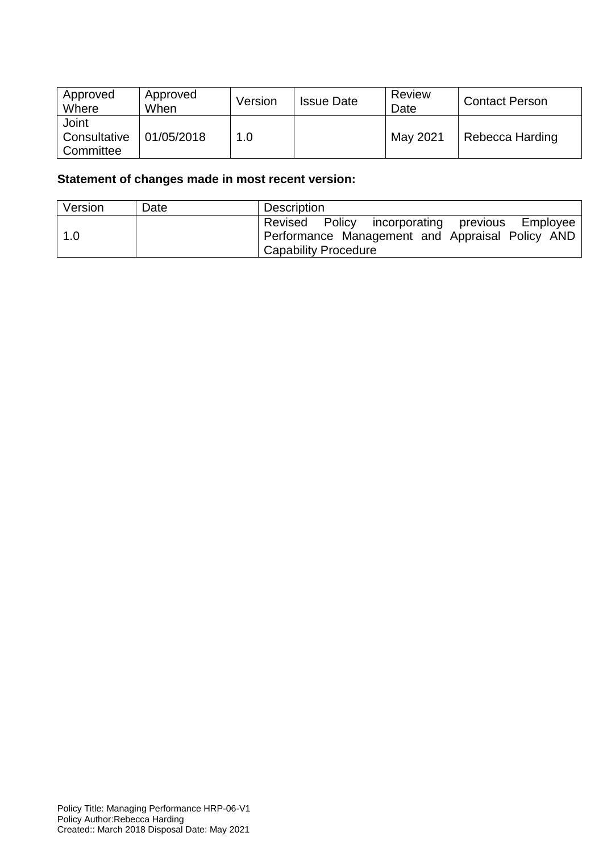| Approved<br>Where                  | Approved<br>When | Version | <b>Issue Date</b> | Review<br>Date | <b>Contact Person</b> |
|------------------------------------|------------------|---------|-------------------|----------------|-----------------------|
| Joint<br>Consultative<br>Committee | 01/05/2018       | 1.0     |                   | May 2021       | Rebecca Harding       |

# **Statement of changes made in most recent version:**

| Version | Date | Description                                                                                                                      |
|---------|------|----------------------------------------------------------------------------------------------------------------------------------|
| 1.0     |      | Revised Policy incorporating previous Employee<br>Performance Management and Appraisal Policy AND<br><b>Capability Procedure</b> |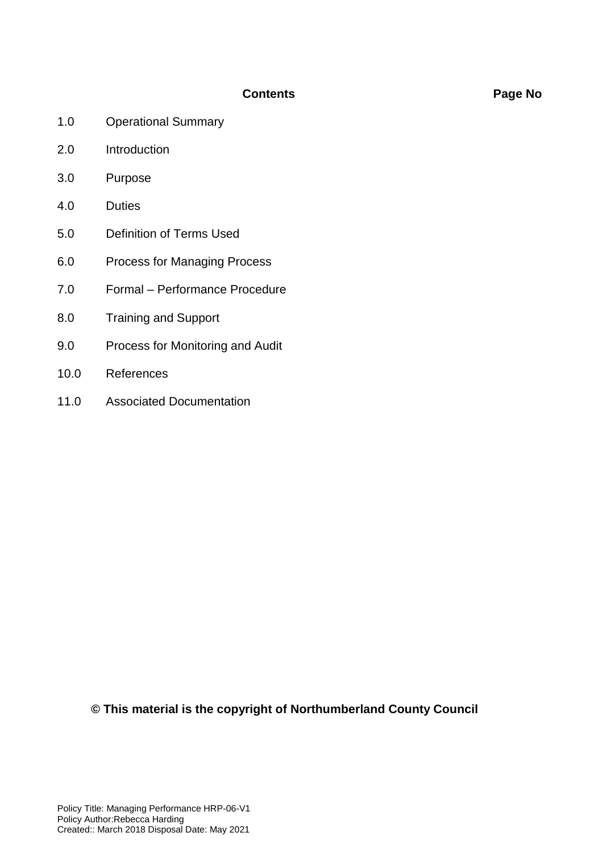#### **Contents Page No**

- 1.0 Operational Summary
- 2.0 Introduction
- 3.0 Purpose
- 4.0 Duties
- 5.0 Definition of Terms Used
- 6.0 Process for Managing Process
- 7.0 Formal Performance Procedure
- 8.0 Training and Support
- 9.0 Process for Monitoring and Audit
- 10.0 References
- 11.0 Associated Documentation

**© This material is the copyright of Northumberland County Council**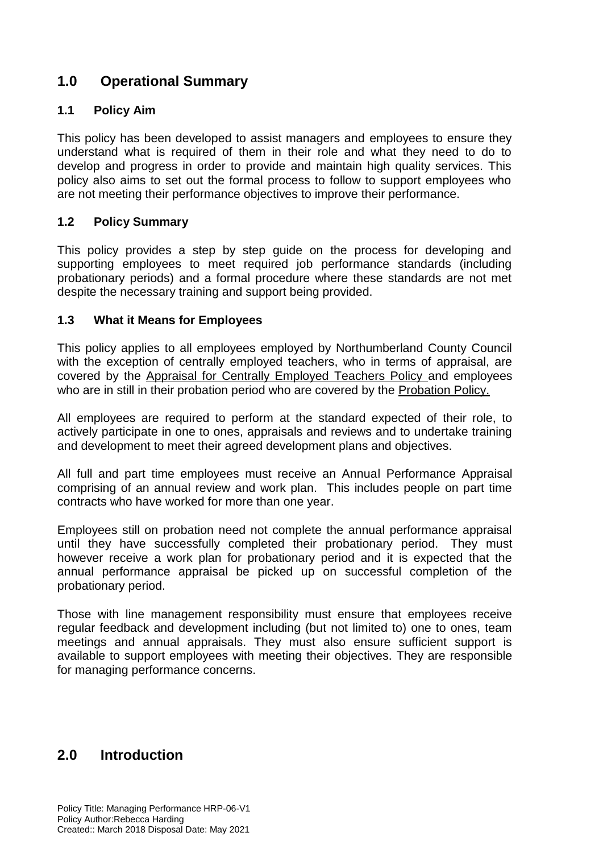# **1.0 Operational Summary**

#### **1.1 Policy Aim**

This policy has been developed to assist managers and employees to ensure they understand what is required of them in their role and what they need to do to develop and progress in order to provide and maintain high quality services. This policy also aims to set out the formal process to follow to support employees who are not meeting their performance objectives to improve their performance.

#### **1.2 Policy Summary**

This policy provides a step by step guide on the process for developing and supporting employees to meet required job performance standards (including probationary periods) and a formal procedure where these standards are not met despite the necessary training and support being provided.

#### **1.3 What it Means for Employees**

This policy applies to all employees employed by Northumberland County Council with the exception of centrally employed teachers, who in terms of appraisal, are covered by the Appraisal for Centrally Employed Teachers Policy and employees who are in still in their probation period who are covered by the Probation Policy.

All employees are required to perform at the standard expected of their role, to actively participate in one to ones, appraisals and reviews and to undertake training and development to meet their agreed development plans and objectives.

All full and part time employees must receive an Annual Performance Appraisal comprising of an annual review and work plan. This includes people on part time contracts who have worked for more than one year.

Employees still on probation need not complete the annual performance appraisal until they have successfully completed their probationary period. They must however receive a work plan for probationary period and it is expected that the annual performance appraisal be picked up on successful completion of the probationary period.

Those with line management responsibility must ensure that employees receive regular feedback and development including (but not limited to) one to ones, team meetings and annual appraisals. They must also ensure sufficient support is available to support employees with meeting their objectives. They are responsible for managing performance concerns.

# **2.0 Introduction**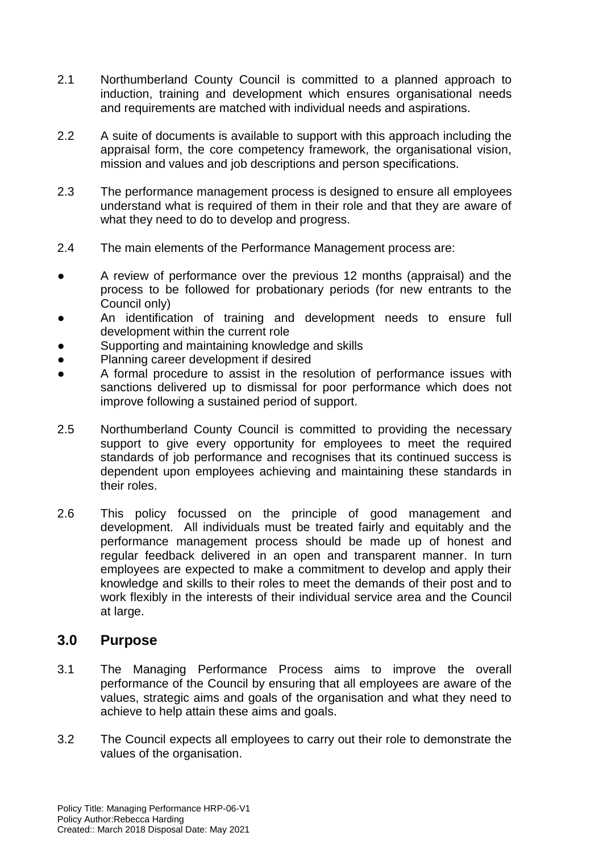- 2.1 Northumberland County Council is committed to a planned approach to induction, training and development which ensures organisational needs and requirements are matched with individual needs and aspirations.
- 2.2 A suite of documents is available to support with this approach including the appraisal form, the core competency framework, the organisational vision, mission and values and job descriptions and person specifications.
- 2.3 The performance management process is designed to ensure all employees understand what is required of them in their role and that they are aware of what they need to do to develop and progress.
- 2.4 The main elements of the Performance Management process are:
- A review of performance over the previous 12 months (appraisal) and the process to be followed for probationary periods (for new entrants to the Council only)
- An identification of training and development needs to ensure full development within the current role
- Supporting and maintaining knowledge and skills
- Planning career development if desired
- A formal procedure to assist in the resolution of performance issues with sanctions delivered up to dismissal for poor performance which does not improve following a sustained period of support.
- 2.5 Northumberland County Council is committed to providing the necessary support to give every opportunity for employees to meet the required standards of job performance and recognises that its continued success is dependent upon employees achieving and maintaining these standards in their roles.
- 2.6 This policy focussed on the principle of good management and development. All individuals must be treated fairly and equitably and the performance management process should be made up of honest and regular feedback delivered in an open and transparent manner. In turn employees are expected to make a commitment to develop and apply their knowledge and skills to their roles to meet the demands of their post and to work flexibly in the interests of their individual service area and the Council at large.

### **3.0 Purpose**

- 3.1 The Managing Performance Process aims to improve the overall performance of the Council by ensuring that all employees are aware of the values, strategic aims and goals of the organisation and what they need to achieve to help attain these aims and goals.
- 3.2 The Council expects all employees to carry out their role to demonstrate the values of the organisation.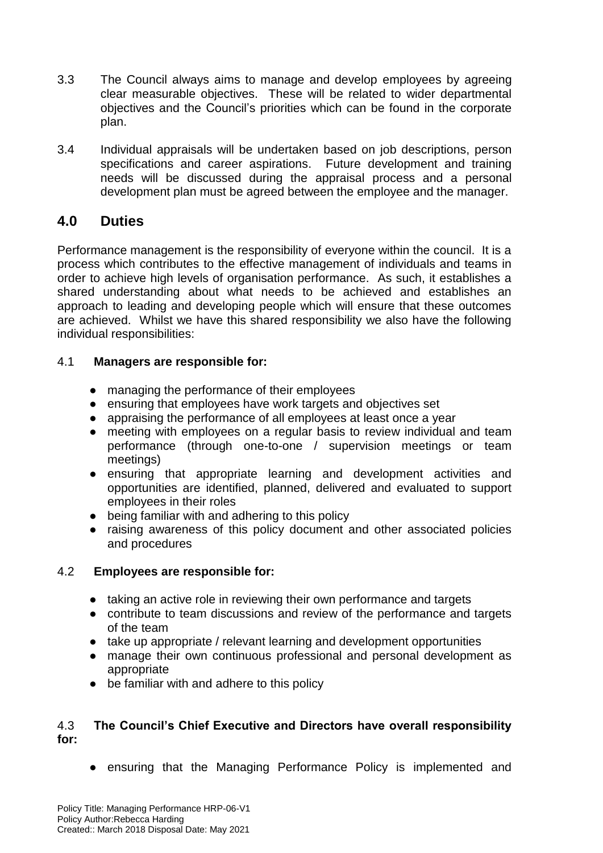- 3.3 The Council always aims to manage and develop employees by agreeing clear measurable objectives. These will be related to wider departmental objectives and the Council's priorities which can be found in the corporate plan.
- 3.4 Individual appraisals will be undertaken based on job descriptions, person specifications and career aspirations. Future development and training needs will be discussed during the appraisal process and a personal development plan must be agreed between the employee and the manager.

# **4.0 Duties**

Performance management is the responsibility of everyone within the council. It is a process which contributes to the effective management of individuals and teams in order to achieve high levels of organisation performance. As such, it establishes a shared understanding about what needs to be achieved and establishes an approach to leading and developing people which will ensure that these outcomes are achieved. Whilst we have this shared responsibility we also have the following individual responsibilities:

#### 4.1 **Managers are responsible for:**

- managing the performance of their employees
- ensuring that employees have work targets and objectives set
- appraising the performance of all employees at least once a year
- meeting with employees on a regular basis to review individual and team performance (through one-to-one / supervision meetings or team meetings)
- ensuring that appropriate learning and development activities and opportunities are identified, planned, delivered and evaluated to support employees in their roles
- being familiar with and adhering to this policy
- raising awareness of this policy document and other associated policies and procedures

#### 4.2 **Employees are responsible for:**

- taking an active role in reviewing their own performance and targets
- contribute to team discussions and review of the performance and targets of the team
- take up appropriate / relevant learning and development opportunities
- manage their own continuous professional and personal development as appropriate
- be familiar with and adhere to this policy

#### 4.3 **The Council's Chief Executive and Directors have overall responsibility for:**

● ensuring that the Managing Performance Policy is implemented and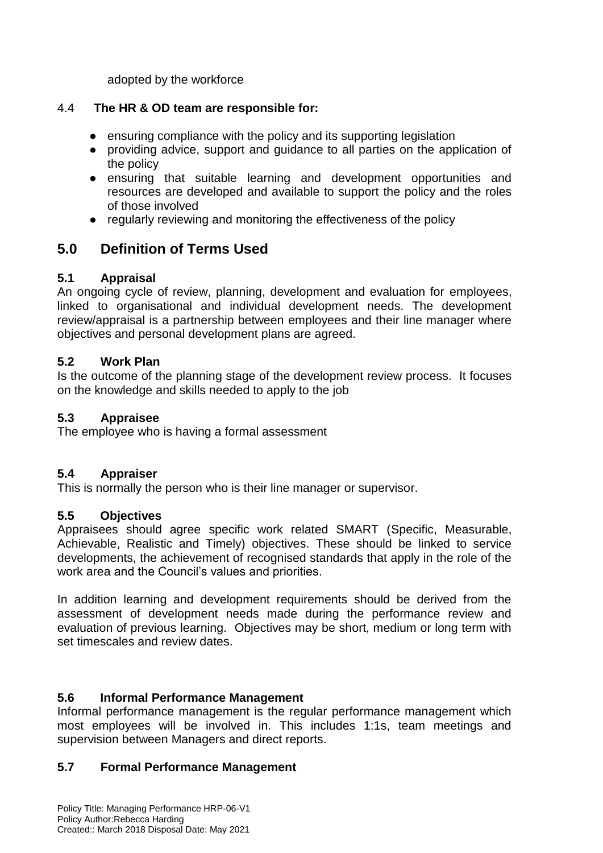adopted by the workforce

#### 4.4 **The HR & OD team are responsible for:**

- ensuring compliance with the policy and its supporting legislation
- providing advice, support and guidance to all parties on the application of the policy
- ensuring that suitable learning and development opportunities and resources are developed and available to support the policy and the roles of those involved
- regularly reviewing and monitoring the effectiveness of the policy

# **5.0 Definition of Terms Used**

#### **5.1 Appraisal**

An ongoing cycle of review, planning, development and evaluation for employees, linked to organisational and individual development needs. The development review/appraisal is a partnership between employees and their line manager where objectives and personal development plans are agreed.

#### **5.2 Work Plan**

Is the outcome of the planning stage of the development review process. It focuses on the knowledge and skills needed to apply to the job

#### **5.3 Appraisee**

The employee who is having a formal assessment

#### **5.4 Appraiser**

This is normally the person who is their line manager or supervisor.

#### **5.5 Objectives**

Appraisees should agree specific work related SMART (Specific, Measurable, Achievable, Realistic and Timely) objectives. These should be linked to service developments, the achievement of recognised standards that apply in the role of the work area and the Council's values and priorities.

In addition learning and development requirements should be derived from the assessment of development needs made during the performance review and evaluation of previous learning. Objectives may be short, medium or long term with set timescales and review dates.

#### **5.6 Informal Performance Management**

Informal performance management is the regular performance management which most employees will be involved in. This includes 1:1s, team meetings and supervision between Managers and direct reports.

### **5.7 Formal Performance Management**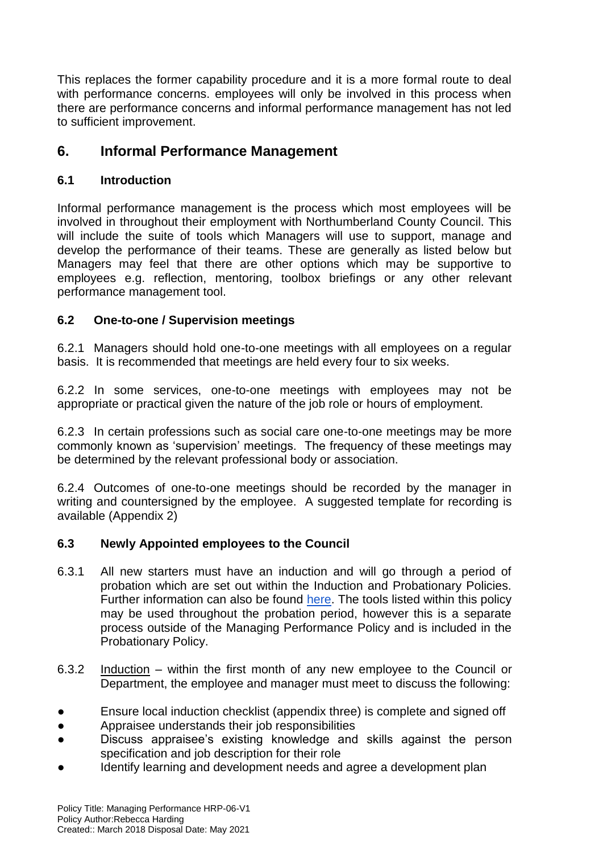This replaces the former capability procedure and it is a more formal route to deal with performance concerns. employees will only be involved in this process when there are performance concerns and informal performance management has not led to sufficient improvement.

# **6. Informal Performance Management**

#### **6.1 Introduction**

Informal performance management is the process which most employees will be involved in throughout their employment with Northumberland County Council. This will include the suite of tools which Managers will use to support, manage and develop the performance of their teams. These are generally as listed below but Managers may feel that there are other options which may be supportive to employees e.g. reflection, mentoring, toolbox briefings or any other relevant performance management tool.

#### **6.2 One-to-one / Supervision meetings**

6.2.1 Managers should hold one-to-one meetings with all employees on a regular basis. It is recommended that meetings are held every four to six weeks.

6.2.2 In some services, one-to-one meetings with employees may not be appropriate or practical given the nature of the job role or hours of employment.

6.2.3 In certain professions such as social care one-to-one meetings may be more commonly known as 'supervision' meetings. The frequency of these meetings may be determined by the relevant professional body or association.

6.2.4 Outcomes of one-to-one meetings should be recorded by the manager in writing and countersigned by the employee. A suggested template for recording is available (Appendix 2)

#### **6.3 Newly Appointed employees to the Council**

- 6.3.1 All new starters must have an induction and will go through a period of probation which are set out within the Induction and Probationary Policies. Further information can also be found [here.](http://www.northumberland.gov.uk/About/Working-for-Northumberland-County-Council.aspx) The tools listed within this policy may be used throughout the probation period, however this is a separate process outside of the Managing Performance Policy and is included in the Probationary Policy.
- 6.3.2 Induction within the first month of any new employee to the Council or Department, the employee and manager must meet to discuss the following:
- Ensure local induction checklist (appendix three) is complete and signed off
- Appraisee understands their job responsibilities
- Discuss appraisee's existing knowledge and skills against the person specification and job description for their role
- Identify learning and development needs and agree a development plan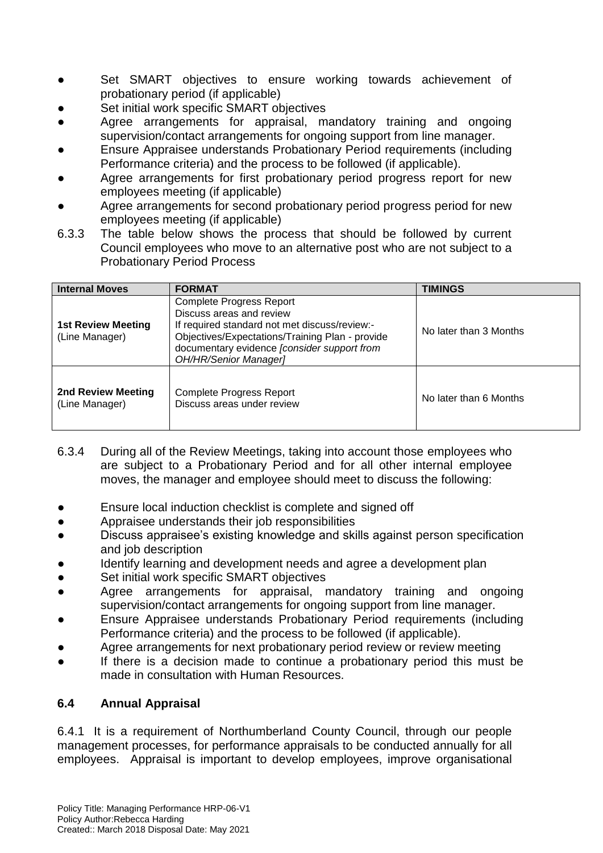- Set SMART objectives to ensure working towards achievement of probationary period (if applicable)
- Set initial work specific SMART objectives
- Agree arrangements for appraisal, mandatory training and ongoing supervision/contact arrangements for ongoing support from line manager.
- Ensure Appraisee understands Probationary Period requirements (including Performance criteria) and the process to be followed (if applicable).
- Agree arrangements for first probationary period progress report for new employees meeting (if applicable)
- Agree arrangements for second probationary period progress period for new employees meeting (if applicable)
- 6.3.3 The table below shows the process that should be followed by current Council employees who move to an alternative post who are not subject to a Probationary Period Process

| <b>Internal Moves</b>                       | <b>FORMAT</b>                                                                                                                                                                                                                                  | TIMINGS                |
|---------------------------------------------|------------------------------------------------------------------------------------------------------------------------------------------------------------------------------------------------------------------------------------------------|------------------------|
| <b>1st Review Meeting</b><br>(Line Manager) | <b>Complete Progress Report</b><br>Discuss areas and review<br>If required standard not met discuss/review:-<br>Objectives/Expectations/Training Plan - provide<br>documentary evidence [consider support from<br><b>OH/HR/Senior Manager]</b> | No later than 3 Months |
| 2nd Review Meeting<br>(Line Manager)        | Complete Progress Report<br>Discuss areas under review                                                                                                                                                                                         | No later than 6 Months |

- 6.3.4 During all of the Review Meetings, taking into account those employees who are subject to a Probationary Period and for all other internal employee moves, the manager and employee should meet to discuss the following:
- Ensure local induction checklist is complete and signed off
- Appraisee understands their job responsibilities
- Discuss appraisee's existing knowledge and skills against person specification and job description
- Identify learning and development needs and agree a development plan
- Set initial work specific SMART objectives
- Agree arrangements for appraisal, mandatory training and ongoing supervision/contact arrangements for ongoing support from line manager.
- Ensure Appraisee understands Probationary Period requirements (including Performance criteria) and the process to be followed (if applicable).
- Agree arrangements for next probationary period review or review meeting
- If there is a decision made to continue a probationary period this must be made in consultation with Human Resources.

### **6.4 Annual Appraisal**

6.4.1 It is a requirement of Northumberland County Council, through our people management processes, for performance appraisals to be conducted annually for all employees. Appraisal is important to develop employees, improve organisational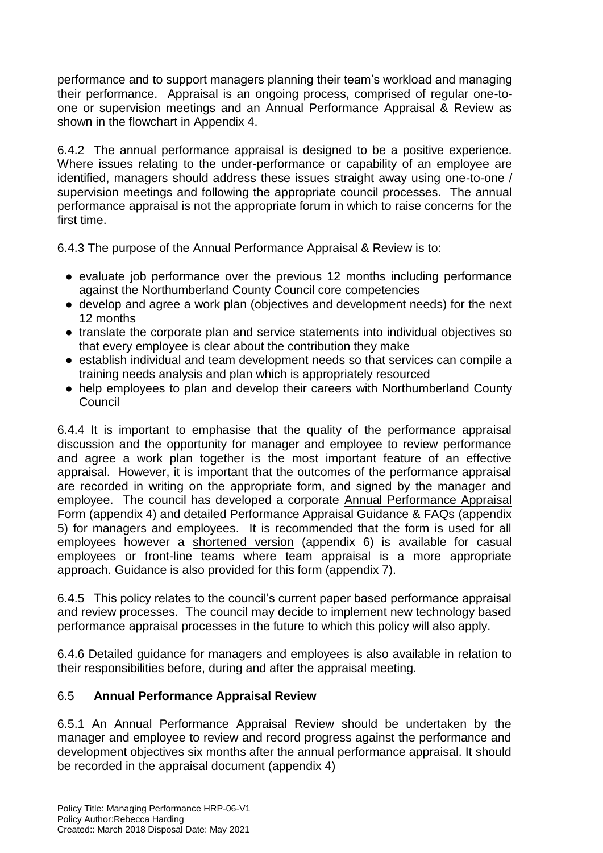performance and to support managers planning their team's workload and managing their performance. Appraisal is an ongoing process, comprised of regular one-toone or supervision meetings and an Annual Performance Appraisal & Review as shown in the flowchart in Appendix 4.

6.4.2 The annual performance appraisal is designed to be a positive experience. Where issues relating to the under-performance or capability of an employee are identified, managers should address these issues straight away using one-to-one / supervision meetings and following the appropriate council processes. The annual performance appraisal is not the appropriate forum in which to raise concerns for the first time.

6.4.3 The purpose of the Annual Performance Appraisal & Review is to:

- evaluate job performance over the previous 12 months including performance against the Northumberland County Council core competencies
- develop and agree a work plan (objectives and development needs) for the next 12 months
- translate the corporate plan and service statements into individual objectives so that every employee is clear about the contribution they make
- establish individual and team development needs so that services can compile a training needs analysis and plan which is appropriately resourced
- help employees to plan and develop their careers with Northumberland County **Council**

6.4.4 It is important to emphasise that the quality of the performance appraisal discussion and the opportunity for manager and employee to review performance and agree a work plan together is the most important feature of an effective appraisal. However, it is important that the outcomes of the performance appraisal are recorded in writing on the appropriate form, and signed by the manager and employee. The council has developed a corporate Annual Performance Appraisal Form (appendix 4) and detailed Performance Appraisal Guidance & FAQs (appendix 5) for managers and employees. It is recommended that the form is used for all employees however a shortened version (appendix 6) is available for casual employees or front-line teams where team appraisal is a more appropriate approach. Guidance is also provided for this form (appendix 7).

6.4.5 This policy relates to the council's current paper based performance appraisal and review processes. The council may decide to implement new technology based performance appraisal processes in the future to which this policy will also apply.

6.4.6 Detailed guidance for managers and employees is also available in relation to their responsibilities before, during and after the appraisal meeting.

### 6.5 **Annual Performance Appraisal Review**

6.5.1 An Annual Performance Appraisal Review should be undertaken by the manager and employee to review and record progress against the performance and development objectives six months after the annual performance appraisal. It should be recorded in the appraisal document (appendix 4)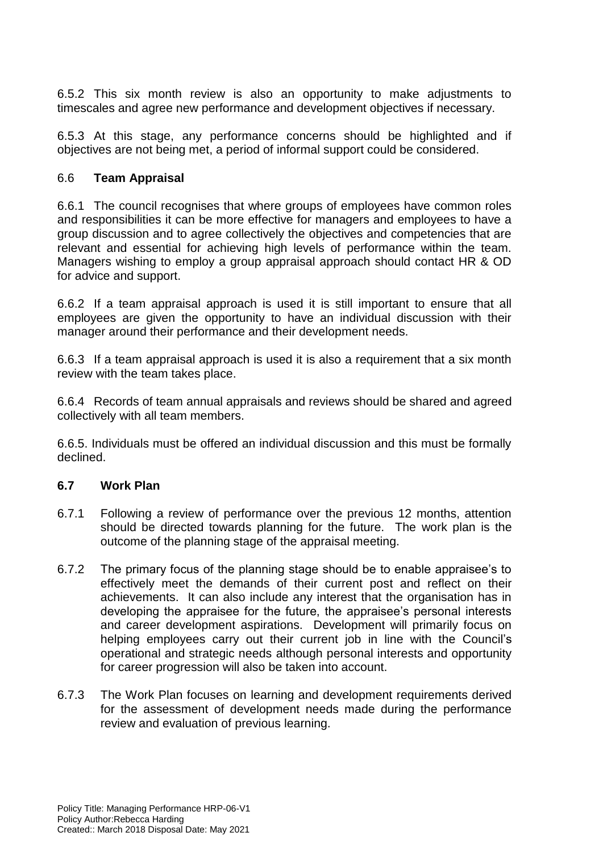6.5.2 This six month review is also an opportunity to make adjustments to timescales and agree new performance and development objectives if necessary.

6.5.3 At this stage, any performance concerns should be highlighted and if objectives are not being met, a period of informal support could be considered.

#### 6.6 **Team Appraisal**

6.6.1 The council recognises that where groups of employees have common roles and responsibilities it can be more effective for managers and employees to have a group discussion and to agree collectively the objectives and competencies that are relevant and essential for achieving high levels of performance within the team. Managers wishing to employ a group appraisal approach should contact HR & OD for advice and support.

6.6.2 If a team appraisal approach is used it is still important to ensure that all employees are given the opportunity to have an individual discussion with their manager around their performance and their development needs.

6.6.3 If a team appraisal approach is used it is also a requirement that a six month review with the team takes place.

6.6.4 Records of team annual appraisals and reviews should be shared and agreed collectively with all team members.

6.6.5. Individuals must be offered an individual discussion and this must be formally declined.

#### **6.7 Work Plan**

- 6.7.1 Following a review of performance over the previous 12 months, attention should be directed towards planning for the future. The work plan is the outcome of the planning stage of the appraisal meeting.
- 6.7.2 The primary focus of the planning stage should be to enable appraisee's to effectively meet the demands of their current post and reflect on their achievements. It can also include any interest that the organisation has in developing the appraisee for the future, the appraisee's personal interests and career development aspirations. Development will primarily focus on helping employees carry out their current job in line with the Council's operational and strategic needs although personal interests and opportunity for career progression will also be taken into account.
- 6.7.3 The Work Plan focuses on learning and development requirements derived for the assessment of development needs made during the performance review and evaluation of previous learning.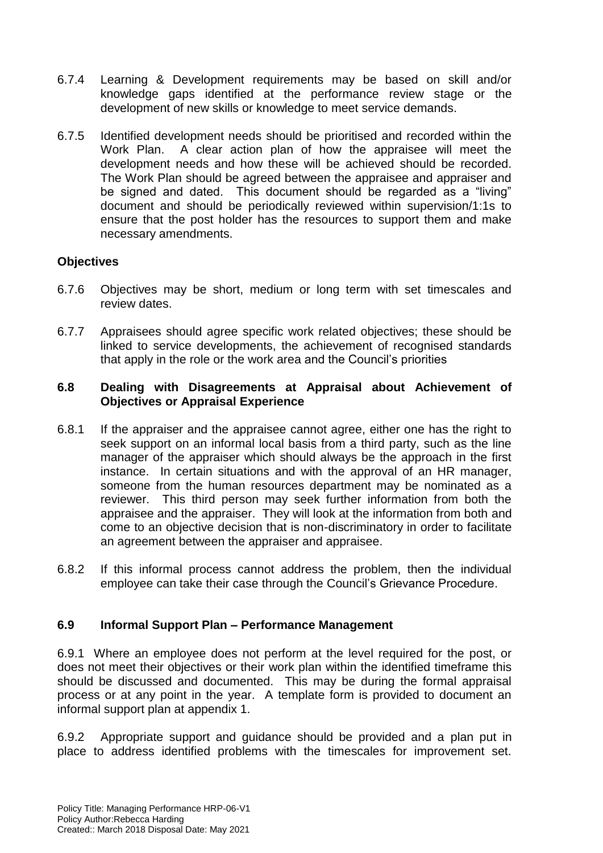- 6.7.4 Learning & Development requirements may be based on skill and/or knowledge gaps identified at the performance review stage or the development of new skills or knowledge to meet service demands.
- 6.7.5 Identified development needs should be prioritised and recorded within the Work Plan. A clear action plan of how the appraisee will meet the development needs and how these will be achieved should be recorded. The Work Plan should be agreed between the appraisee and appraiser and be signed and dated. This document should be regarded as a "living" document and should be periodically reviewed within supervision/1:1s to ensure that the post holder has the resources to support them and make necessary amendments.

#### **Objectives**

- 6.7.6 Objectives may be short, medium or long term with set timescales and review dates.
- 6.7.7 Appraisees should agree specific work related objectives; these should be linked to service developments, the achievement of recognised standards that apply in the role or the work area and the Council's priorities

#### **6.8 Dealing with Disagreements at Appraisal about Achievement of Objectives or Appraisal Experience**

- 6.8.1 If the appraiser and the appraisee cannot agree, either one has the right to seek support on an informal local basis from a third party, such as the line manager of the appraiser which should always be the approach in the first instance. In certain situations and with the approval of an HR manager, someone from the human resources department may be nominated as a reviewer. This third person may seek further information from both the appraisee and the appraiser. They will look at the information from both and come to an objective decision that is non-discriminatory in order to facilitate an agreement between the appraiser and appraisee.
- 6.8.2 If this informal process cannot address the problem, then the individual employee can take their case through the Council's Grievance Procedure.

#### **6.9 Informal Support Plan – Performance Management**

6.9.1 Where an employee does not perform at the level required for the post, or does not meet their objectives or their work plan within the identified timeframe this should be discussed and documented. This may be during the formal appraisal process or at any point in the year. A template form is provided to document an informal support plan at appendix 1.

6.9.2 Appropriate support and guidance should be provided and a plan put in place to address identified problems with the timescales for improvement set.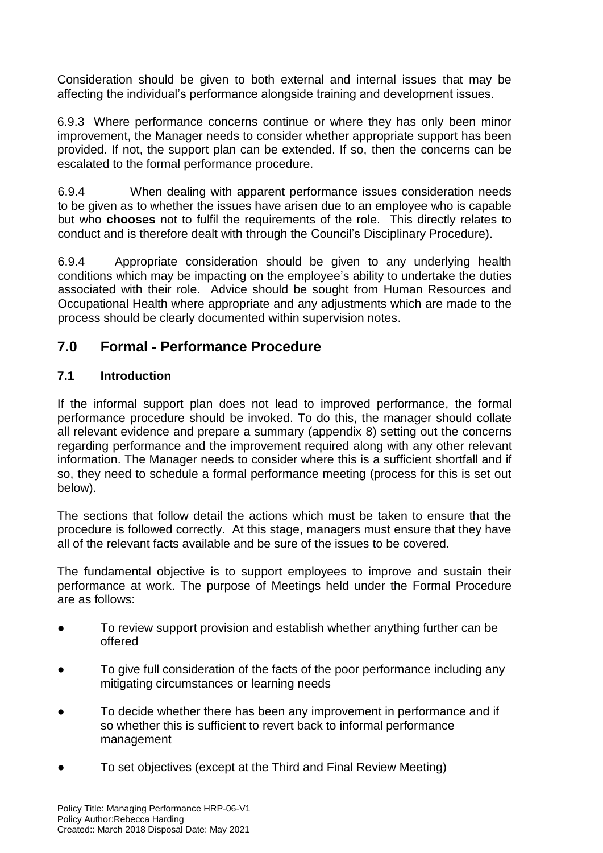Consideration should be given to both external and internal issues that may be affecting the individual's performance alongside training and development issues.

6.9.3 Where performance concerns continue or where they has only been minor improvement, the Manager needs to consider whether appropriate support has been provided. If not, the support plan can be extended. If so, then the concerns can be escalated to the formal performance procedure.

6.9.4 When dealing with apparent performance issues consideration needs to be given as to whether the issues have arisen due to an employee who is capable but who **chooses** not to fulfil the requirements of the role. This directly relates to conduct and is therefore dealt with through the Council's Disciplinary Procedure).

6.9.4 Appropriate consideration should be given to any underlying health conditions which may be impacting on the employee's ability to undertake the duties associated with their role. Advice should be sought from Human Resources and Occupational Health where appropriate and any adjustments which are made to the process should be clearly documented within supervision notes.

# **7.0 Formal - Performance Procedure**

#### **7.1 Introduction**

If the informal support plan does not lead to improved performance, the formal performance procedure should be invoked. To do this, the manager should collate all relevant evidence and prepare a summary (appendix 8) setting out the concerns regarding performance and the improvement required along with any other relevant information. The Manager needs to consider where this is a sufficient shortfall and if so, they need to schedule a formal performance meeting (process for this is set out below).

The sections that follow detail the actions which must be taken to ensure that the procedure is followed correctly. At this stage, managers must ensure that they have all of the relevant facts available and be sure of the issues to be covered.

The fundamental objective is to support employees to improve and sustain their performance at work. The purpose of Meetings held under the Formal Procedure are as follows:

- To review support provision and establish whether anything further can be offered
- To give full consideration of the facts of the poor performance including any mitigating circumstances or learning needs
- To decide whether there has been any improvement in performance and if so whether this is sufficient to revert back to informal performance management
- To set objectives (except at the Third and Final Review Meeting)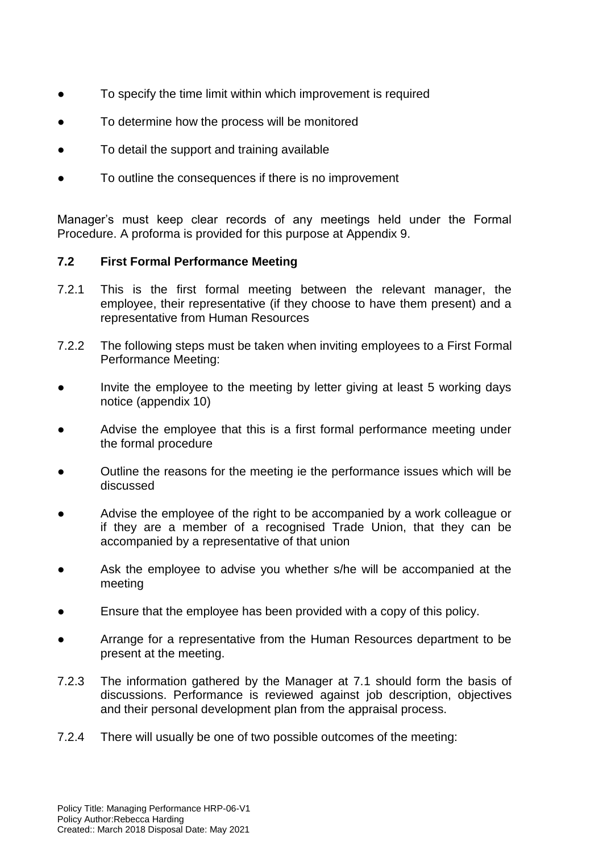- To specify the time limit within which improvement is required
- To determine how the process will be monitored
- To detail the support and training available
- To outline the consequences if there is no improvement

Manager's must keep clear records of any meetings held under the Formal Procedure. A proforma is provided for this purpose at Appendix 9.

#### **7.2 First Formal Performance Meeting**

- 7.2.1 This is the first formal meeting between the relevant manager, the employee, their representative (if they choose to have them present) and a representative from Human Resources
- 7.2.2 The following steps must be taken when inviting employees to a First Formal Performance Meeting:
- Invite the employee to the meeting by letter giving at least 5 working days notice (appendix 10)
- Advise the employee that this is a first formal performance meeting under the formal procedure
- Outline the reasons for the meeting ie the performance issues which will be discussed
- Advise the employee of the right to be accompanied by a work colleague or if they are a member of a recognised Trade Union, that they can be accompanied by a representative of that union
- Ask the employee to advise you whether s/he will be accompanied at the meeting
- Ensure that the employee has been provided with a copy of this policy.
- Arrange for a representative from the Human Resources department to be present at the meeting.
- 7.2.3 The information gathered by the Manager at 7.1 should form the basis of discussions. Performance is reviewed against job description, objectives and their personal development plan from the appraisal process.
- 7.2.4 There will usually be one of two possible outcomes of the meeting: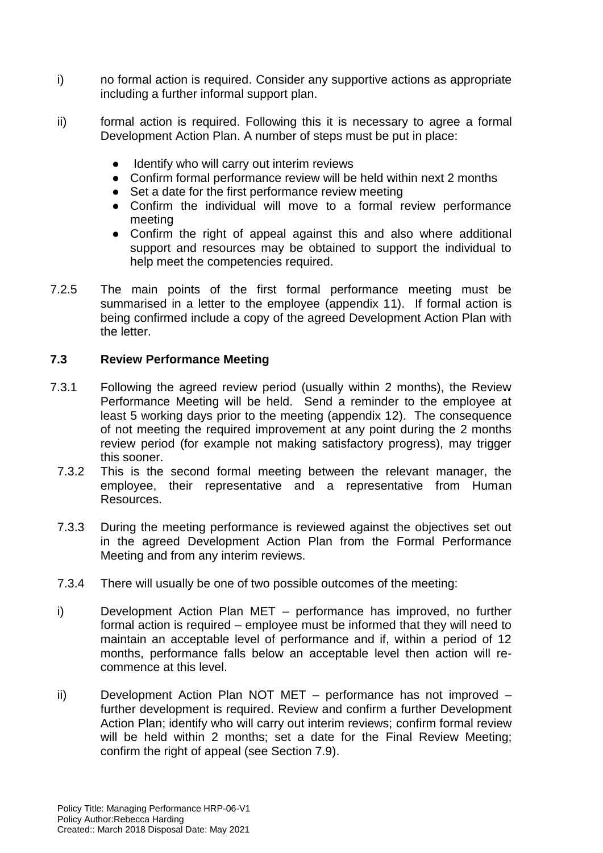- i) no formal action is required. Consider any supportive actions as appropriate including a further informal support plan.
- ii) formal action is required. Following this it is necessary to agree a formal Development Action Plan. A number of steps must be put in place:
	- Identify who will carry out interim reviews
	- Confirm formal performance review will be held within next 2 months
	- Set a date for the first performance review meeting
	- Confirm the individual will move to a formal review performance meeting
	- Confirm the right of appeal against this and also where additional support and resources may be obtained to support the individual to help meet the competencies required.
- 7.2.5 The main points of the first formal performance meeting must be summarised in a letter to the employee (appendix 11). If formal action is being confirmed include a copy of the agreed Development Action Plan with the letter.

#### **7.3 Review Performance Meeting**

- 7.3.1 Following the agreed review period (usually within 2 months), the Review Performance Meeting will be held. Send a reminder to the employee at least 5 working days prior to the meeting (appendix 12). The consequence of not meeting the required improvement at any point during the 2 months review period (for example not making satisfactory progress), may trigger this sooner.
	- 7.3.2 This is the second formal meeting between the relevant manager, the employee, their representative and a representative from Human Resources.
	- 7.3.3 During the meeting performance is reviewed against the objectives set out in the agreed Development Action Plan from the Formal Performance Meeting and from any interim reviews.
	- 7.3.4 There will usually be one of two possible outcomes of the meeting:
	- i) Development Action Plan MET performance has improved, no further formal action is required – employee must be informed that they will need to maintain an acceptable level of performance and if, within a period of 12 months, performance falls below an acceptable level then action will recommence at this level.
	- ii) Development Action Plan NOT MET performance has not improved further development is required. Review and confirm a further Development Action Plan; identify who will carry out interim reviews; confirm formal review will be held within 2 months; set a date for the Final Review Meeting; confirm the right of appeal (see Section 7.9).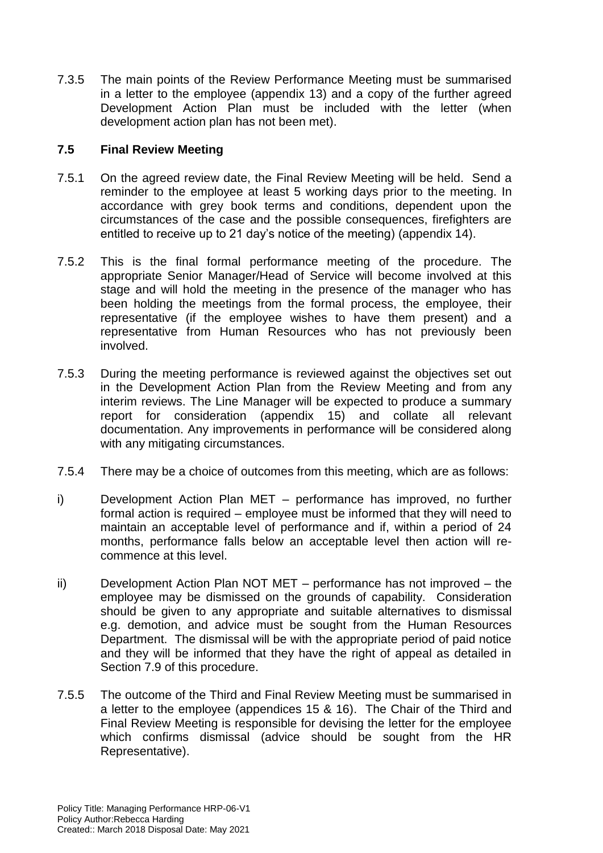7.3.5 The main points of the Review Performance Meeting must be summarised in a letter to the employee (appendix 13) and a copy of the further agreed Development Action Plan must be included with the letter (when development action plan has not been met).

#### **7.5 Final Review Meeting**

- 7.5.1 On the agreed review date, the Final Review Meeting will be held. Send a reminder to the employee at least 5 working days prior to the meeting. In accordance with grey book terms and conditions, dependent upon the circumstances of the case and the possible consequences, firefighters are entitled to receive up to 21 day's notice of the meeting) (appendix 14).
- 7.5.2 This is the final formal performance meeting of the procedure. The appropriate Senior Manager/Head of Service will become involved at this stage and will hold the meeting in the presence of the manager who has been holding the meetings from the formal process, the employee, their representative (if the employee wishes to have them present) and a representative from Human Resources who has not previously been involved.
- 7.5.3 During the meeting performance is reviewed against the objectives set out in the Development Action Plan from the Review Meeting and from any interim reviews. The Line Manager will be expected to produce a summary report for consideration (appendix 15) and collate all relevant documentation. Any improvements in performance will be considered along with any mitigating circumstances.
- 7.5.4 There may be a choice of outcomes from this meeting, which are as follows:
- i) Development Action Plan MET performance has improved, no further formal action is required – employee must be informed that they will need to maintain an acceptable level of performance and if, within a period of 24 months, performance falls below an acceptable level then action will recommence at this level.
- ii) Development Action Plan NOT MET performance has not improved the employee may be dismissed on the grounds of capability. Consideration should be given to any appropriate and suitable alternatives to dismissal e.g. demotion, and advice must be sought from the Human Resources Department. The dismissal will be with the appropriate period of paid notice and they will be informed that they have the right of appeal as detailed in Section 7.9 of this procedure.
- 7.5.5 The outcome of the Third and Final Review Meeting must be summarised in a letter to the employee (appendices 15 & 16). The Chair of the Third and Final Review Meeting is responsible for devising the letter for the employee which confirms dismissal (advice should be sought from the HR Representative).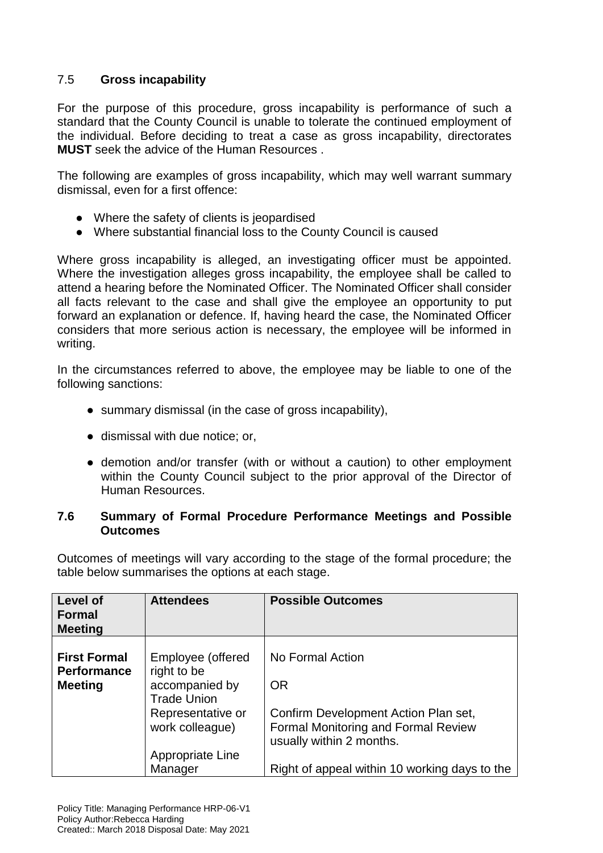#### 7.5 **Gross incapability**

For the purpose of this procedure, gross incapability is performance of such a standard that the County Council is unable to tolerate the continued employment of the individual. Before deciding to treat a case as gross incapability, directorates **MUST** seek the advice of the Human Resources .

The following are examples of gross incapability, which may well warrant summary dismissal, even for a first offence:

- Where the safety of clients is jeopardised
- Where substantial financial loss to the County Council is caused

Where gross incapability is alleged, an investigating officer must be appointed. Where the investigation alleges gross incapability, the employee shall be called to attend a hearing before the Nominated Officer. The Nominated Officer shall consider all facts relevant to the case and shall give the employee an opportunity to put forward an explanation or defence. If, having heard the case, the Nominated Officer considers that more serious action is necessary, the employee will be informed in writing.

In the circumstances referred to above, the employee may be liable to one of the following sanctions:

- summary dismissal (in the case of gross incapability).
- dismissal with due notice; or,
- demotion and/or transfer (with or without a caution) to other employment within the County Council subject to the prior approval of the Director of Human Resources.

#### **7.6 Summary of Formal Procedure Performance Meetings and Possible Outcomes**

Outcomes of meetings will vary according to the stage of the formal procedure; the table below summarises the options at each stage.

| Level of<br><b>Formal</b><br><b>Meeting</b>                 | <b>Attendees</b>                                                                              | <b>Possible Outcomes</b>                                               |
|-------------------------------------------------------------|-----------------------------------------------------------------------------------------------|------------------------------------------------------------------------|
| <b>First Formal</b><br><b>Performance</b><br><b>Meeting</b> | Employee (offered<br>right to be<br>accompanied by<br><b>Trade Union</b><br>Representative or | No Formal Action<br><b>OR</b><br>Confirm Development Action Plan set,  |
|                                                             | work colleague)                                                                               | <b>Formal Monitoring and Formal Review</b><br>usually within 2 months. |
|                                                             | Appropriate Line<br>Manager                                                                   | Right of appeal within 10 working days to the                          |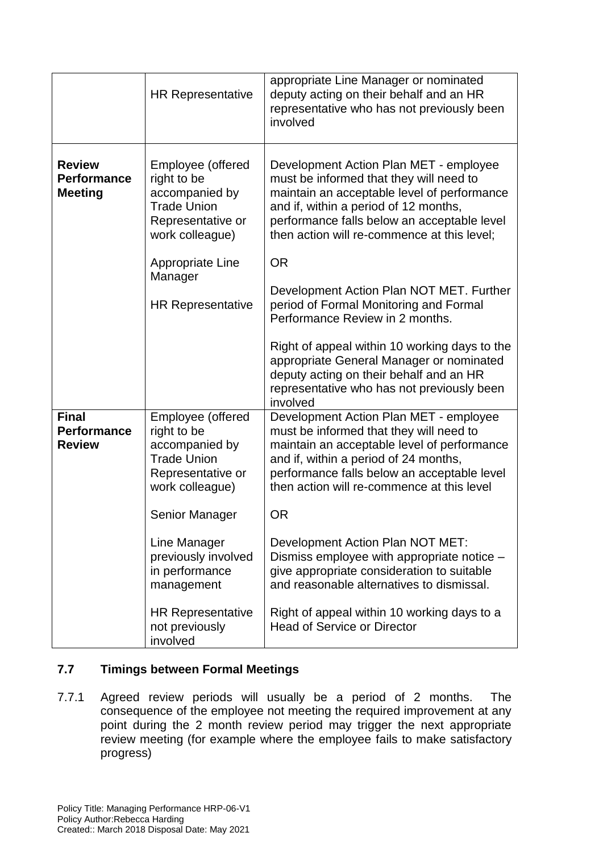|                                                       | <b>HR Representative</b>                                                                                         | appropriate Line Manager or nominated<br>deputy acting on their behalf and an HR<br>representative who has not previously been<br>involved                                                                                                                              |
|-------------------------------------------------------|------------------------------------------------------------------------------------------------------------------|-------------------------------------------------------------------------------------------------------------------------------------------------------------------------------------------------------------------------------------------------------------------------|
| <b>Review</b><br><b>Performance</b><br><b>Meeting</b> | Employee (offered<br>right to be<br>accompanied by<br><b>Trade Union</b><br>Representative or<br>work colleague) | Development Action Plan MET - employee<br>must be informed that they will need to<br>maintain an acceptable level of performance<br>and if, within a period of 12 months,<br>performance falls below an acceptable level<br>then action will re-commence at this level; |
|                                                       | Appropriate Line                                                                                                 | <b>OR</b>                                                                                                                                                                                                                                                               |
|                                                       | Manager<br><b>HR Representative</b>                                                                              | Development Action Plan NOT MET. Further<br>period of Formal Monitoring and Formal<br>Performance Review in 2 months.                                                                                                                                                   |
|                                                       |                                                                                                                  | Right of appeal within 10 working days to the<br>appropriate General Manager or nominated<br>deputy acting on their behalf and an HR<br>representative who has not previously been<br>involved                                                                          |
| <b>Final</b><br><b>Performance</b><br><b>Review</b>   | Employee (offered<br>right to be<br>accompanied by<br><b>Trade Union</b><br>Representative or<br>work colleague) | Development Action Plan MET - employee<br>must be informed that they will need to<br>maintain an acceptable level of performance<br>and if, within a period of 24 months,<br>performance falls below an acceptable level<br>then action will re-commence at this level  |
|                                                       | Senior Manager                                                                                                   | <b>OR</b>                                                                                                                                                                                                                                                               |
|                                                       | Line Manager<br>previously involved<br>in performance<br>management                                              | Development Action Plan NOT MET:<br>Dismiss employee with appropriate notice -<br>give appropriate consideration to suitable<br>and reasonable alternatives to dismissal.                                                                                               |
|                                                       | <b>HR Representative</b><br>not previously<br>involved                                                           | Right of appeal within 10 working days to a<br><b>Head of Service or Director</b>                                                                                                                                                                                       |

#### **7.7 Timings between Formal Meetings**

7.7.1 Agreed review periods will usually be a period of 2 months. The consequence of the employee not meeting the required improvement at any point during the 2 month review period may trigger the next appropriate review meeting (for example where the employee fails to make satisfactory progress)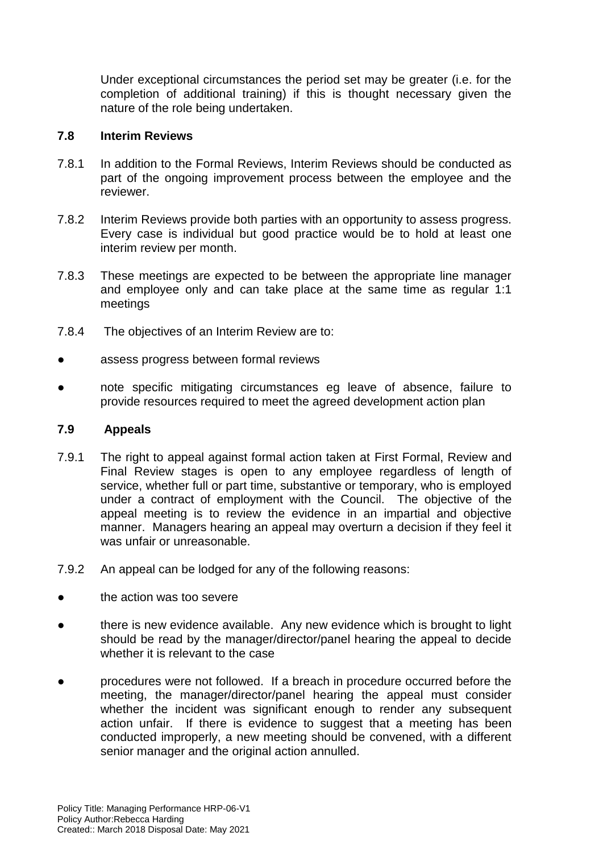Under exceptional circumstances the period set may be greater (i.e. for the completion of additional training) if this is thought necessary given the nature of the role being undertaken.

#### **7.8 Interim Reviews**

- 7.8.1 In addition to the Formal Reviews, Interim Reviews should be conducted as part of the ongoing improvement process between the employee and the reviewer.
- 7.8.2 Interim Reviews provide both parties with an opportunity to assess progress. Every case is individual but good practice would be to hold at least one interim review per month.
- 7.8.3 These meetings are expected to be between the appropriate line manager and employee only and can take place at the same time as regular 1:1 meetings
- 7.8.4 The objectives of an Interim Review are to:
- assess progress between formal reviews
- note specific mitigating circumstances eg leave of absence, failure to provide resources required to meet the agreed development action plan

#### **7.9 Appeals**

- 7.9.1 The right to appeal against formal action taken at First Formal, Review and Final Review stages is open to any employee regardless of length of service, whether full or part time, substantive or temporary, who is employed under a contract of employment with the Council. The objective of the appeal meeting is to review the evidence in an impartial and objective manner. Managers hearing an appeal may overturn a decision if they feel it was unfair or unreasonable.
- 7.9.2 An appeal can be lodged for any of the following reasons:
- the action was too severe
- there is new evidence available. Any new evidence which is brought to light should be read by the manager/director/panel hearing the appeal to decide whether it is relevant to the case
- procedures were not followed. If a breach in procedure occurred before the meeting, the manager/director/panel hearing the appeal must consider whether the incident was significant enough to render any subsequent action unfair. If there is evidence to suggest that a meeting has been conducted improperly, a new meeting should be convened, with a different senior manager and the original action annulled.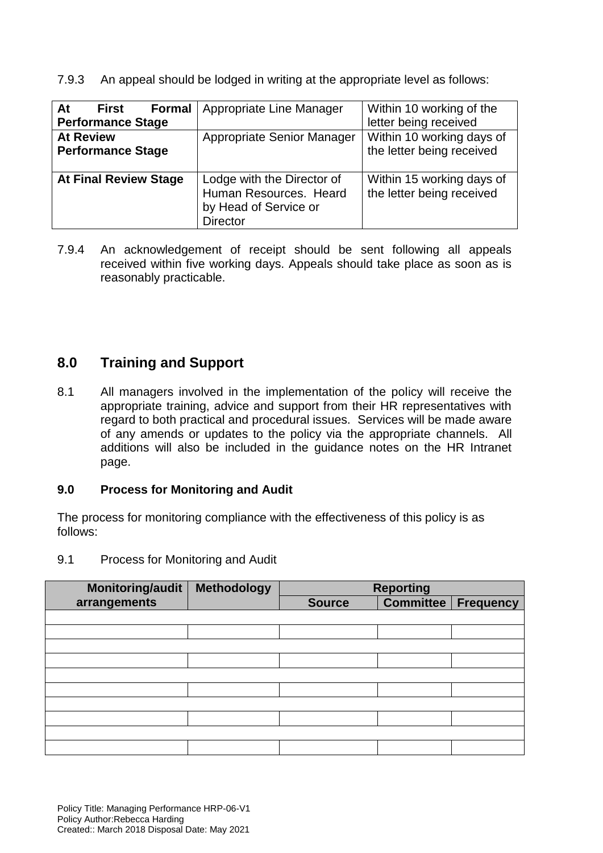7.9.3 An appeal should be lodged in writing at the appropriate level as follows:

| At<br><b>First</b><br><b>Performance Stage</b> | <b>Formal</b>   Appropriate Line Manager                                                         | Within 10 working of the<br>letter being received      |
|------------------------------------------------|--------------------------------------------------------------------------------------------------|--------------------------------------------------------|
| <b>At Review</b><br><b>Performance Stage</b>   | Appropriate Senior Manager                                                                       | Within 10 working days of<br>the letter being received |
| <b>At Final Review Stage</b>                   | Lodge with the Director of<br>Human Resources. Heard<br>by Head of Service or<br><b>Director</b> | Within 15 working days of<br>the letter being received |

7.9.4 An acknowledgement of receipt should be sent following all appeals received within five working days. Appeals should take place as soon as is reasonably practicable.

## **8.0 Training and Support**

8.1 All managers involved in the implementation of the policy will receive the appropriate training, advice and support from their HR representatives with regard to both practical and procedural issues. Services will be made aware of any amends or updates to the policy via the appropriate channels. All additions will also be included in the guidance notes on the HR Intranet page.

#### **9.0 Process for Monitoring and Audit**

The process for monitoring compliance with the effectiveness of this policy is as follows:

#### 9.1 Process for Monitoring and Audit

| <b>Monitoring/audit</b> | Methodology | <b>Reporting</b> |                  |                  |  |
|-------------------------|-------------|------------------|------------------|------------------|--|
| arrangements            |             | <b>Source</b>    | <b>Committee</b> | <b>Frequency</b> |  |
|                         |             |                  |                  |                  |  |
|                         |             |                  |                  |                  |  |
|                         |             |                  |                  |                  |  |
|                         |             |                  |                  |                  |  |
|                         |             |                  |                  |                  |  |
|                         |             |                  |                  |                  |  |
|                         |             |                  |                  |                  |  |
|                         |             |                  |                  |                  |  |
|                         |             |                  |                  |                  |  |
|                         |             |                  |                  |                  |  |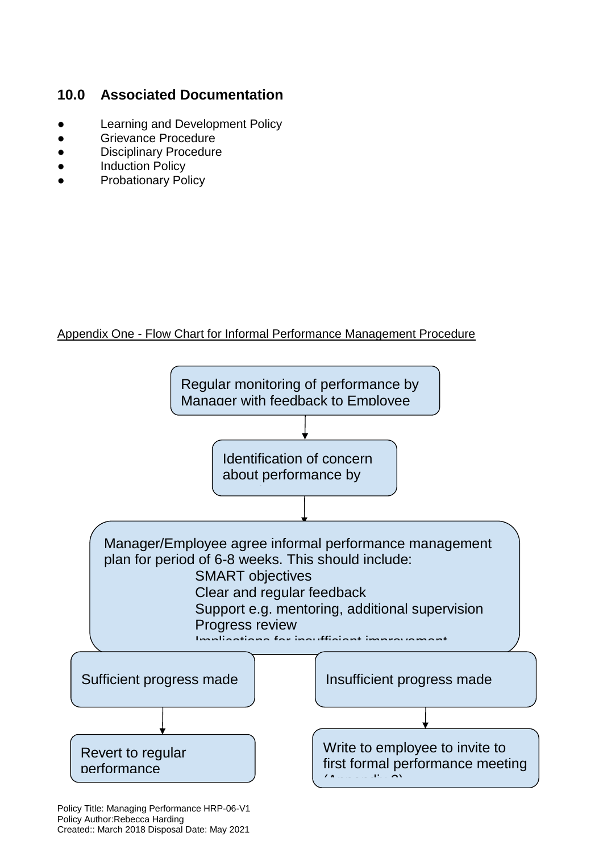# **10.0 Associated Documentation**

- Learning and Development Policy
- **Grievance Procedure**
- **Disciplinary Procedure**
- **Induction Policy**
- **Probationary Policy**

#### Appendix One - Flow Chart for Informal Performance Management Procedure

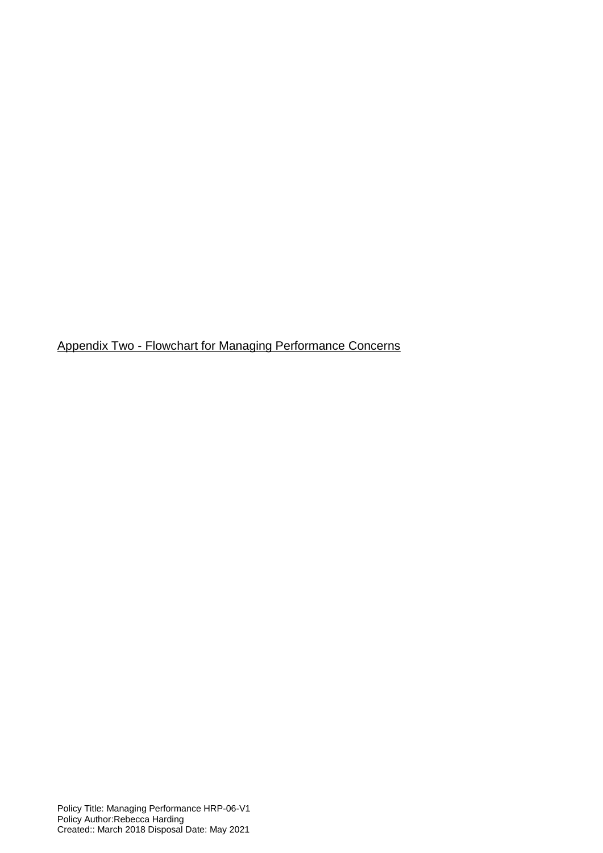Appendix Two - Flowchart for Managing Performance Concerns